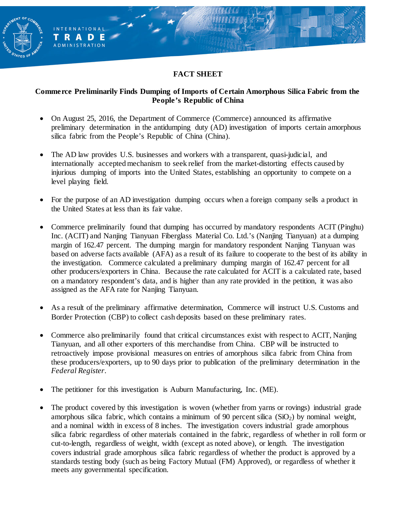### **FACT SHEET**

ENT OF C

INTERNATIONAL TRADE **ADMINISTRATION** 

#### **Commerce Preliminarily Finds Dumping of Imports of Certain Amorphous Silica Fabric from the People's Republic of China**

- On August 25, 2016, the Department of Commerce (Commerce) announced its affirmative preliminary determination in the antidumping duty (AD) investigation of imports certain amorphous silica fabric from the People's Republic of China (China).
- The AD law provides U.S. businesses and workers with a transparent, quasi-judicial, and internationally accepted mechanism to seek relief from the market-distorting effects caused by injurious dumping of imports into the United States, establishing an opportunity to compete on a level playing field.
- For the purpose of an AD investigation dumping occurs when a foreign company sells a product in the United States at less than its fair value.
- Commerce preliminarily found that dumping has occurred by mandatory respondents ACIT (Pinghu) Inc. (ACIT) and Nanjing Tianyuan Fiberglass Material Co. Ltd.'s (Nanjing Tianyuan) at a dumping margin of 162.47 percent. The dumping margin for mandatory respondent Nanjing Tianyuan was based on adverse facts available (AFA) as a result of its failure to cooperate to the best of its ability in the investigation. Commerce calculated a preliminary dumping margin of 162.47 percent for all other producers/exporters in China. Because the rate calculated for ACIT is a calculated rate, based on a mandatory respondent's data, and is higher than any rate provided in the petition, it was also assigned as the AFA rate for Nanjing Tianyuan.
- As a result of the preliminary affirmative determination, Commerce will instruct U.S. Customs and Border Protection (CBP) to collect cash deposits based on these preliminary rates.
- Commerce also preliminarily found that critical circumstances exist with respect to ACIT, Nanjing Tianyuan, and all other exporters of this merchandise from China. CBP will be instructed to retroactively impose provisional measures on entries of amorphous silica fabric from China from these producers/exporters, up to 90 days prior to publication of the preliminary determination in the *Federal Register*.
- The petitioner for this investigation is Auburn Manufacturing, Inc. (ME).
- The product covered by this investigation is woven (whether from yarns or rovings) industrial grade amorphous silica fabric, which contains a minimum of 90 percent silica  $(SiO<sub>2</sub>)$  by nominal weight, and a nominal width in excess of 8 inches. The investigation covers industrial grade amorphous silica fabric regardless of other materials contained in the fabric, regardless of whether in roll form or cut-to-length, regardless of weight, width (except as noted above), or length. The investigation covers industrial grade amorphous silica fabric regardless of whether the product is approved by a standards testing body (such as being Factory Mutual (FM) Approved), or regardless of whether it meets any governmental specification.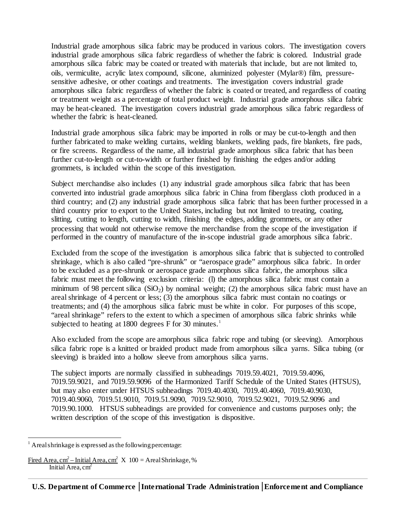Industrial grade amorphous silica fabric may be produced in various colors. The investigation covers industrial grade amorphous silica fabric regardless of whether the fabric is colored. Industrial grade amorphous silica fabric may be coated or treated with materials that include, but are not limited to, oils, vermiculite, acrylic latex compound, silicone, aluminized polyester (Mylar®) film, pressuresensitive adhesive, or other coatings and treatments. The investigation covers industrial grade amorphous silica fabric regardless of whether the fabric is coated or treated, and regardless of coating or treatment weight as a percentage of total product weight. Industrial grade amorphous silica fabric may be heat-cleaned. The investigation covers industrial grade amorphous silica fabric regardless of whether the fabric is heat-cleaned.

Industrial grade amorphous silica fabric may be imported in rolls or may be cut-to-length and then further fabricated to make welding curtains, welding blankets, welding pads, fire blankets, fire pads, or fire screens. Regardless of the name, all industrial grade amorphous silica fabric that has been further cut-to-length or cut-to-width or further finished by finishing the edges and/or adding grommets, is included within the scope of this investigation.

Subject merchandise also includes (1) any industrial grade amorphous silica fabric that has been converted into industrial grade amorphous silica fabric in China from fiberglass cloth produced in a third country; and (2) any industrial grade amorphous silica fabric that has been further processed in a third country prior to export to the United States, including but not limited to treating, coating, slitting, cutting to length, cutting to width, finishing the edges, adding grommets, or any other processing that would not otherwise remove the merchandise from the scope of the investigation if performed in the country of manufacture of the in-scope industrial grade amorphous silica fabric.

Excluded from the scope of the investigation is amorphous silica fabric that is subjected to controlled shrinkage, which is also called "pre-shrunk" or "aerospace grade" amorphous silica fabric. In order to be excluded as a pre-shrunk or aerospace grade amorphous silica fabric, the amorphous silica fabric must meet the following exclusion criteria: (1) the amorphous silica fabric must contain a minimum of 98 percent silica  $(SiO<sub>2</sub>)$  by nominal weight; (2) the amorphous silica fabric must have an areal shrinkage of 4 percent or less; (3) the amorphous silica fabric must contain no coatings or treatments; and (4) the amorphous silica fabric must be white in color. For purposes of this scope, "areal shrinkage" refers to the extent to which a specimen of amorphous silica fabric shrinks while subjected to heating at [1](#page-1-0)800 degrees F for 30 minutes.<sup>1</sup>

Also excluded from the scope are amorphous silica fabric rope and tubing (or sleeving). Amorphous silica fabric rope is a knitted or braided product made from amorphous silica yarns. Silica tubing (or sleeving) is braided into a hollow sleeve from amorphous silica yarns.

The subject imports are normally classified in subheadings 7019.59.4021, 7019.59.4096, 7019.59.9021, and 7019.59.9096 of the Harmonized Tariff Schedule of the United States (HTSUS), but may also enter under HTSUS subheadings 7019.40.4030, 7019.40.4060, 7019.40.9030, 7019.40.9060, 7019.51.9010, 7019.51.9090, 7019.52.9010, 7019.52.9021, 7019.52.9096 and 7019.90.1000. HTSUS subheadings are provided for convenience and customs purposes only; the written description of the scope of this investigation is dispositive.

<span id="page-1-0"></span> $<sup>1</sup>$  Areal shrinkage is expressed as the following percentage:</sup>

Fired Area, cm<sup>2</sup> – Initial Area, cm<sup>2</sup> X  $100 =$  Areal Shrinkage, % Initial Area,  $cm<sup>2</sup>$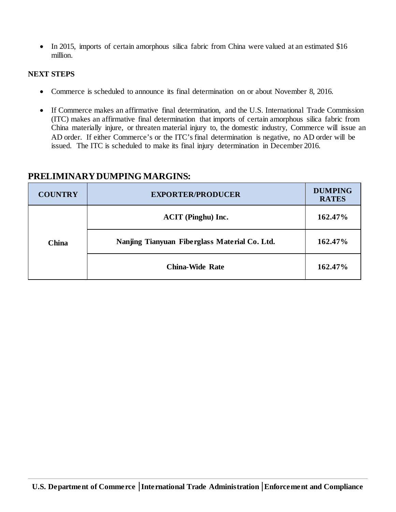• In 2015, imports of certain amorphous silica fabric from China were valued at an estimated \$16 million.

#### **NEXT STEPS**

- Commerce is scheduled to announce its final determination on or about November 8, 2016.
- If Commerce makes an affirmative final determination, and the U.S. International Trade Commission (ITC) makes an affirmative final determination that imports of certain amorphous silica fabric from China materially injure, or threaten material injury to, the domestic industry, Commerce will issue an AD order. If either Commerce's or the ITC's final determination is negative, no AD order will be issued. The ITC is scheduled to make its final injury determination in December 2016.

| <b>COUNTRY</b> | <b>EXPORTER/PRODUCER</b>                      | <b>DUMPING</b><br><b>RATES</b> |
|----------------|-----------------------------------------------|--------------------------------|
| <b>China</b>   | <b>ACIT</b> (Pinghu) Inc.                     | 162.47%                        |
|                | Nanjing Tianyuan Fiberglass Material Co. Ltd. | 162.47%                        |
|                | <b>China-Wide Rate</b>                        | 162.47%                        |

#### **PRELIMINARY DUMPING MARGINS:**